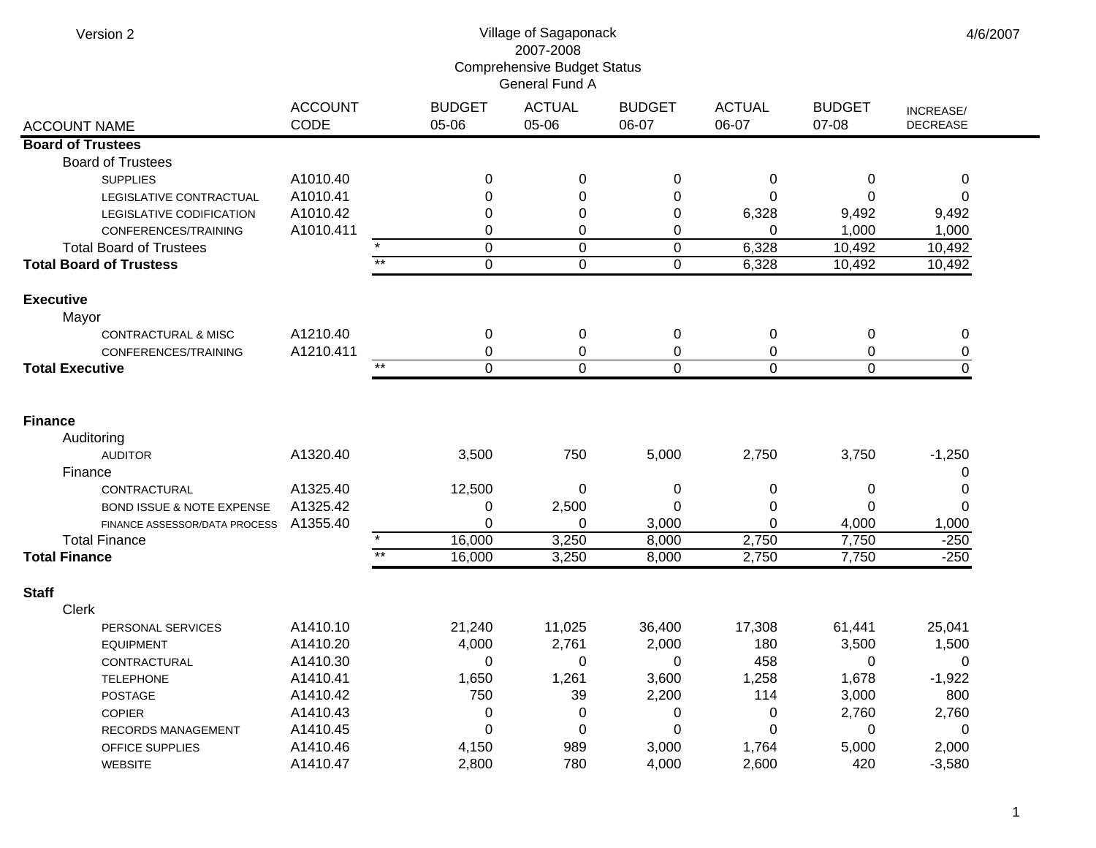| Version 2                                                  | Village of Sagaponack<br>2007-2008<br><b>Comprehensive Budget Status</b><br>General Fund A |                        |                        |                        |                        |                        |                              |  |  |
|------------------------------------------------------------|--------------------------------------------------------------------------------------------|------------------------|------------------------|------------------------|------------------------|------------------------|------------------------------|--|--|
| <b>ACCOUNT NAME</b>                                        | <b>ACCOUNT</b><br>CODE                                                                     | <b>BUDGET</b><br>05-06 | <b>ACTUAL</b><br>05-06 | <b>BUDGET</b><br>06-07 | <b>ACTUAL</b><br>06-07 | <b>BUDGET</b><br>07-08 | INCREASE/<br><b>DECREASE</b> |  |  |
| <b>Board of Trustees</b>                                   |                                                                                            |                        |                        |                        |                        |                        |                              |  |  |
| <b>Board of Trustees</b>                                   |                                                                                            |                        |                        |                        |                        |                        |                              |  |  |
| <b>SUPPLIES</b>                                            | A1010.40                                                                                   | 0                      | 0                      | 0                      | 0                      | 0                      | 0                            |  |  |
| LEGISLATIVE CONTRACTUAL                                    | A1010.41                                                                                   | 0                      | 0                      | 0                      | 0                      | $\Omega$               | 0                            |  |  |
| LEGISLATIVE CODIFICATION                                   | A1010.42                                                                                   | 0                      | 0                      | 0                      | 6,328                  | 9,492                  | 9,492                        |  |  |
| CONFERENCES/TRAINING                                       | A1010.411                                                                                  | 0                      | 0                      | 0                      | 0                      | 1,000                  | 1,000                        |  |  |
| <b>Total Board of Trustees</b>                             |                                                                                            | $\mathbf 0$            | $\mathbf 0$            | $\pmb{0}$              | 6,328                  | 10,492                 | 10,492                       |  |  |
| <b>Total Board of Trustess</b>                             |                                                                                            | $**$<br>$\Omega$       | $\overline{0}$         | $\mathbf 0$            | 6,328                  | 10,492                 | 10,492                       |  |  |
| <b>Executive</b>                                           |                                                                                            |                        |                        |                        |                        |                        |                              |  |  |
| Mayor                                                      |                                                                                            |                        |                        |                        |                        |                        |                              |  |  |
| CONTRACTURAL & MISC                                        | A1210.40                                                                                   | 0                      | 0                      | 0                      | 0                      | 0                      | 0                            |  |  |
| CONFERENCES/TRAINING                                       | A1210.411                                                                                  | 0                      | 0                      | 0                      | 0                      | 0                      | 0                            |  |  |
| <b>Total Executive</b>                                     |                                                                                            | $***$<br>$\mathbf 0$   | $\mathbf 0$            | $\mathbf 0$            | $\mathbf 0$            | $\mathbf{0}$           | $\mathbf 0$                  |  |  |
| <b>Finance</b><br>Auditoring<br><b>AUDITOR</b><br>Finance  | A1320.40                                                                                   | 3,500                  | 750                    | 5,000                  | 2,750                  | 3,750                  | $-1,250$<br>0                |  |  |
| CONTRACTURAL                                               | A1325.40<br>A1325.42                                                                       | 12,500                 | 0<br>2,500             | 0<br>0                 | 0<br>0                 | 0<br>0                 | 0<br>0                       |  |  |
| BOND ISSUE & NOTE EXPENSE<br>FINANCE ASSESSOR/DATA PROCESS | A1355.40                                                                                   | 0<br>$\Omega$          | 0                      | 3,000                  | $\Omega$               | 4,000                  | 1,000                        |  |  |
| <b>Total Finance</b>                                       |                                                                                            | $\star$<br>16,000      | 3,250                  | 8,000                  | 2,750                  | 7,750                  | $-250$                       |  |  |
| <b>Total Finance</b>                                       |                                                                                            | $***$<br>16,000        | 3,250                  | 8,000                  | 2,750                  | 7,750                  | $-250$                       |  |  |
|                                                            |                                                                                            |                        |                        |                        |                        |                        |                              |  |  |
| <b>Staff</b>                                               |                                                                                            |                        |                        |                        |                        |                        |                              |  |  |
| <b>Clerk</b>                                               |                                                                                            |                        |                        |                        |                        |                        |                              |  |  |
| PERSONAL SERVICES                                          | A1410.10<br>A1410.20                                                                       | 21,240                 | 11,025<br>2,761        | 36,400<br>2,000        | 17,308                 | 61,441                 | 25,041                       |  |  |
| <b>EQUIPMENT</b><br>CONTRACTURAL                           | A1410.30                                                                                   | 4,000<br>0             | 0                      | 0                      | 180<br>458             | 3,500<br>0             | 1,500<br>0                   |  |  |
| <b>TELEPHONE</b>                                           | A1410.41                                                                                   | 1,650                  | 1,261                  | 3,600                  | 1,258                  | 1,678                  | $-1,922$                     |  |  |
| POSTAGE                                                    | A1410.42                                                                                   | 750                    | 39                     | 2,200                  | 114                    | 3,000                  | 800                          |  |  |
| COPIER                                                     | A1410.43                                                                                   | 0                      | 0                      | 0                      | 0                      | 2,760                  | 2,760                        |  |  |
| RECORDS MANAGEMENT                                         | A1410.45                                                                                   | 0                      | 0                      | 0                      | 0                      | 0                      | 0                            |  |  |
| OFFICE SUPPLIES                                            | A1410.46                                                                                   | 4,150                  | 989                    | 3,000                  | 1,764                  | 5,000                  | 2,000                        |  |  |
| <b>WEBSITE</b>                                             | A1410.47                                                                                   | 2,800                  | 780                    | 4,000                  | 2,600                  | 420                    | $-3,580$                     |  |  |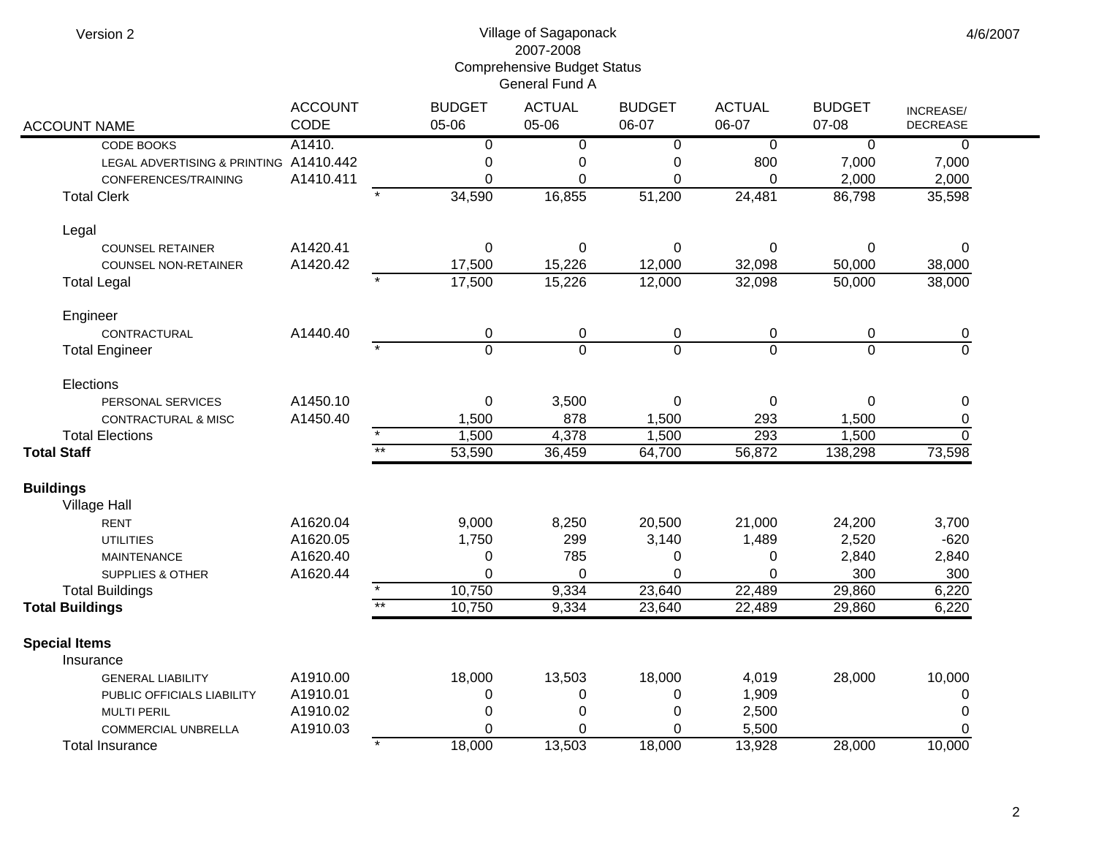| Version 2 |  |
|-----------|--|
|-----------|--|

## Village of Sagaponack 2007-2008 Comprehensive Budget Status General Fund A

| <b>ACCOUNT NAME</b>                    | <b>ACCOUNT</b><br>CODE |         | <b>BUDGET</b><br>05-06 | <b>ACTUAL</b><br>05-06 | <b>BUDGET</b><br>06-07 | <b>ACTUAL</b><br>06-07 | <b>BUDGET</b><br>07-08 | INCREASE/<br><b>DECREASE</b> |
|----------------------------------------|------------------------|---------|------------------------|------------------------|------------------------|------------------------|------------------------|------------------------------|
| CODE BOOKS                             | A1410.                 |         | $\overline{0}$         | $\overline{0}$         | $\overline{0}$         | $\overline{0}$         | $\overline{0}$         | 0                            |
| LEGAL ADVERTISING & PRINTING A1410.442 |                        |         | 0                      | 0                      | 0                      | 800                    | 7,000                  | 7,000                        |
| CONFERENCES/TRAINING                   | A1410.411              |         | 0                      | $\Omega$               | $\Omega$               | 0                      | 2,000                  | 2,000                        |
| <b>Total Clerk</b>                     |                        |         | 34,590                 | 16,855                 | 51,200                 | 24,481                 | 86,798                 | 35,598                       |
| Legal                                  |                        |         |                        |                        |                        |                        |                        |                              |
| <b>COUNSEL RETAINER</b>                | A1420.41               |         | $\boldsymbol{0}$       | $\boldsymbol{0}$       | $\pmb{0}$              | $\mathbf 0$            | 0                      | $\Omega$                     |
| <b>COUNSEL NON-RETAINER</b>            | A1420.42               |         | 17,500                 | 15,226                 | 12,000                 | 32,098                 | 50,000                 | 38,000                       |
| <b>Total Legal</b>                     |                        |         | 17,500                 | 15,226                 | 12,000                 | 32,098                 | 50,000                 | 38,000                       |
| Engineer                               |                        |         |                        |                        |                        |                        |                        |                              |
| CONTRACTURAL                           | A1440.40               |         | $\pmb{0}$              | $\pmb{0}$              | $\pmb{0}$              | $\pmb{0}$              | $\mathbf 0$            | 0                            |
| <b>Total Engineer</b>                  |                        |         | $\overline{0}$         | $\overline{0}$         | $\overline{0}$         | $\overline{0}$         | $\overline{0}$         | $\overline{0}$               |
| Elections                              |                        |         |                        |                        |                        |                        |                        |                              |
| PERSONAL SERVICES                      | A1450.10               |         | $\pmb{0}$              | 3,500                  | 0                      | $\mathbf 0$            | 0                      | 0                            |
| CONTRACTURAL & MISC                    | A1450.40               |         | 1,500                  | 878                    | 1,500                  | 293                    | 1,500                  | $\pmb{0}$                    |
| <b>Total Elections</b>                 |                        | $\star$ | 1,500                  | 4,378                  | 1,500                  | 293                    | 1,500                  | $\overline{0}$               |
| <b>Total Staff</b>                     |                        | $**$    | 53,590                 | 36,459                 | 64,700                 | 56,872                 | 138,298                | 73,598                       |
| <b>Buildings</b>                       |                        |         |                        |                        |                        |                        |                        |                              |
| <b>Village Hall</b>                    |                        |         |                        |                        |                        |                        |                        |                              |
| <b>RENT</b>                            | A1620.04               |         | 9,000                  | 8,250                  | 20,500                 | 21,000                 | 24,200                 | 3,700                        |
| <b>UTILITIES</b>                       | A1620.05               |         | 1,750                  | 299                    | 3,140                  | 1,489                  | 2,520                  | $-620$                       |
| <b>MAINTENANCE</b>                     | A1620.40               |         | 0                      | 785                    | 0                      | 0                      | 2,840                  | 2,840                        |
| <b>SUPPLIES &amp; OTHER</b>            | A1620.44               |         | $\overline{0}$         | $\Omega$               | $\mathbf 0$            | $\Omega$               | 300                    | 300                          |
| <b>Total Buildings</b>                 |                        |         | 10,750                 | 9,334                  | 23,640                 | 22,489                 | 29,860                 | 6,220                        |
| <b>Total Buildings</b>                 |                        | $*$     | 10,750                 | 9,334                  | 23,640                 | 22,489                 | 29,860                 | 6,220                        |
| <b>Special Items</b>                   |                        |         |                        |                        |                        |                        |                        |                              |
| Insurance                              |                        |         |                        |                        |                        |                        |                        |                              |
| <b>GENERAL LIABILITY</b>               | A1910.00               |         | 18,000                 | 13,503                 | 18,000                 | 4,019                  | 28,000                 | 10,000                       |
| PUBLIC OFFICIALS LIABILITY             | A1910.01               |         | 0                      | 0                      | $\mathbf 0$            | 1,909                  |                        | 0                            |
| <b>MULTI PERIL</b>                     | A1910.02               |         | 0                      | 0                      | 0                      | 2,500                  |                        | 0                            |
| COMMERCIAL UNBRELLA                    | A1910.03               |         | 0                      | 0                      | 0                      | 5,500                  |                        | 0                            |
| <b>Total Insurance</b>                 |                        |         | 18,000                 | 13,503                 | 18,000                 | 13,928                 | 28,000                 | 10,000                       |

4/6/2007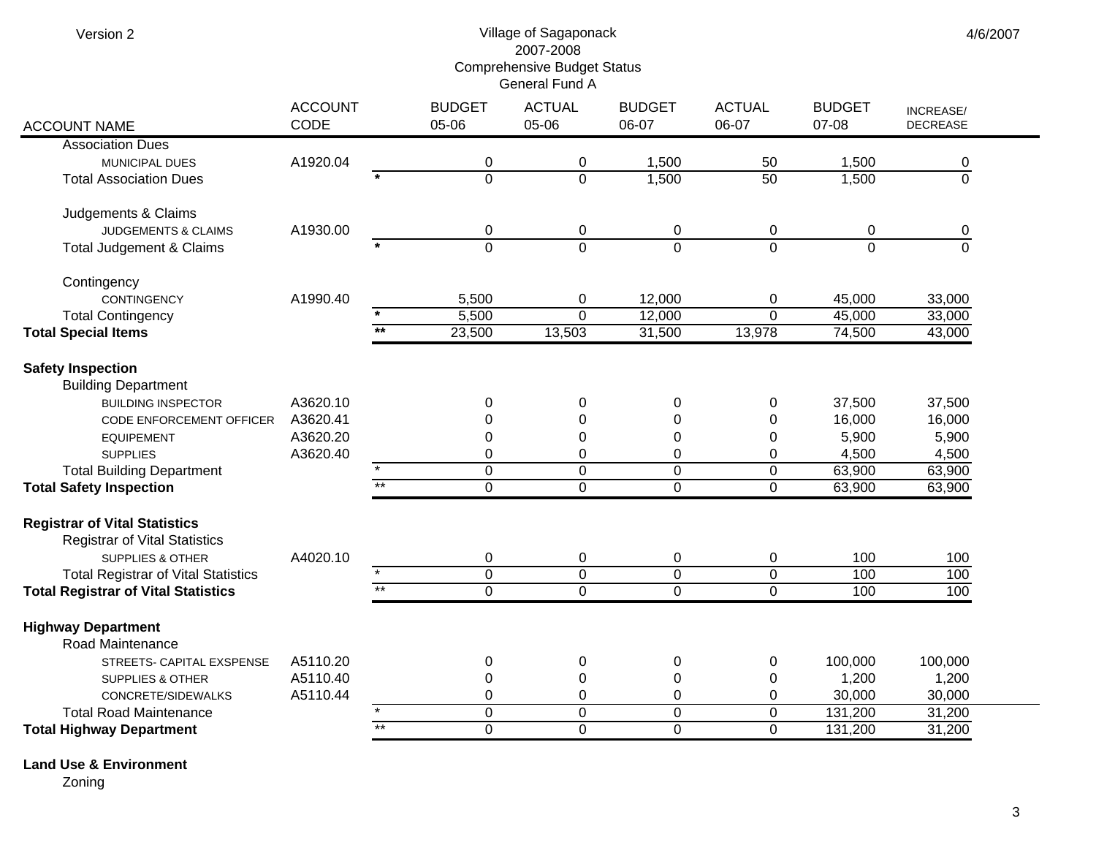| Version 2                                                                    |                        | 4/6/2007        |                                    |                               |                        |                            |                        |                                     |  |
|------------------------------------------------------------------------------|------------------------|-----------------|------------------------------------|-------------------------------|------------------------|----------------------------|------------------------|-------------------------------------|--|
|                                                                              | <b>ACCOUNT</b><br>CODE |                 | <b>BUDGET</b><br>05-06             | <b>ACTUAL</b><br>05-06        | <b>BUDGET</b><br>06-07 | <b>ACTUAL</b><br>06-07     | <b>BUDGET</b><br>07-08 | <b>INCREASE/</b><br><b>DECREASE</b> |  |
| <b>ACCOUNT NAME</b><br><b>Association Dues</b>                               |                        |                 |                                    |                               |                        |                            |                        |                                     |  |
| MUNICIPAL DUES                                                               | A1920.04               |                 | 0                                  | 0                             | 1,500                  | 50                         | 1,500                  | 0                                   |  |
| <b>Total Association Dues</b>                                                |                        |                 | $\overline{0}$                     | 0                             | 1,500                  | 50                         | 1,500                  | $\overline{0}$                      |  |
| Judgements & Claims                                                          |                        |                 |                                    |                               |                        |                            |                        |                                     |  |
| <b>JUDGEMENTS &amp; CLAIMS</b>                                               | A1930.00               |                 | 0                                  | 0                             | 0                      | 0                          | $\mathbf 0$            | 0                                   |  |
| Total Judgement & Claims                                                     |                        |                 | $\overline{0}$                     | $\Omega$                      | $\Omega$               | $\Omega$                   | $\Omega$               | $\Omega$                            |  |
| Contingency                                                                  |                        |                 |                                    |                               |                        |                            |                        |                                     |  |
| <b>CONTINGENCY</b>                                                           | A1990.40               |                 | 5,500                              | 0                             | 12,000                 | 0                          | 45,000                 | 33,000                              |  |
| <b>Total Contingency</b><br><b>Total Special Items</b>                       |                        | $**$            | 5,500<br>23,500                    | $\overline{0}$<br>13,503      | 12,000<br>31,500       | $\overline{0}$<br>13,978   | 45,000<br>74,500       | 33,000<br>43,000                    |  |
|                                                                              |                        |                 |                                    |                               |                        |                            |                        |                                     |  |
| <b>Safety Inspection</b><br><b>Building Department</b>                       |                        |                 |                                    |                               |                        |                            |                        |                                     |  |
| <b>BUILDING INSPECTOR</b>                                                    | A3620.10               |                 | 0                                  | 0                             | 0                      | 0                          | 37,500                 | 37,500                              |  |
| CODE ENFORCEMENT OFFICER                                                     | A3620.41               |                 | $\mathbf 0$                        | 0                             | $\boldsymbol{0}$       | 0                          | 16,000                 | 16,000                              |  |
| <b>EQUIPEMENT</b>                                                            | A3620.20               |                 | $\mathbf 0$                        | 0                             | 0                      | 0                          | 5,900                  | 5,900                               |  |
| <b>SUPPLIES</b>                                                              | A3620.40               |                 | $\boldsymbol{0}$<br>$\overline{0}$ | 0<br>$\overline{0}$           | 0<br>0                 | 0<br>$\overline{0}$        | 4,500<br>63,900        | 4,500                               |  |
| <b>Total Building Department</b><br><b>Total Safety Inspection</b>           |                        | $\overline{**}$ | $\overline{0}$                     | $\overline{0}$                | $\overline{0}$         | $\overline{0}$             | 63,900                 | 63,900<br>63,900                    |  |
|                                                                              |                        |                 |                                    |                               |                        |                            |                        |                                     |  |
| <b>Registrar of Vital Statistics</b><br><b>Registrar of Vital Statistics</b> |                        |                 |                                    |                               |                        |                            |                        |                                     |  |
| <b>SUPPLIES &amp; OTHER</b>                                                  | A4020.10               |                 | 0                                  | 0                             | 0                      | 0                          | 100                    | 100                                 |  |
| <b>Total Registrar of Vital Statistics</b>                                   |                        | $**$            | $\overline{0}$                     | $\pmb{0}$                     | $\boldsymbol{0}$       | $\boldsymbol{0}$           | 100                    | 100                                 |  |
| <b>Total Registrar of Vital Statistics</b>                                   |                        |                 | $\overline{0}$                     | $\overline{0}$                | $\overline{0}$         | $\overline{0}$             | 100                    | 100                                 |  |
| <b>Highway Department</b><br>Road Maintenance                                |                        |                 |                                    |                               |                        |                            |                        |                                     |  |
| STREETS- CAPITAL EXSPENSE                                                    | A5110.20               |                 | 0                                  | 0                             | 0                      | 0                          | 100,000                | 100,000                             |  |
| SUPPLIES & OTHER                                                             | A5110.40               |                 | 0                                  | $\boldsymbol{0}$              | $\boldsymbol{0}$       | 0                          | 1,200                  | 1,200                               |  |
| CONCRETE/SIDEWALKS                                                           | A5110.44               |                 | 0                                  | 0                             | 0                      | 0                          | 30,000                 | 30,000                              |  |
| <b>Total Road Maintenance</b>                                                |                        | $\overline{**}$ | $\overline{0}$<br>$\overline{0}$   | $\overline{0}$<br>$\mathbf 0$ | 0<br>$\mathbf 0$       | $\overline{0}$<br>$\Omega$ | 131,200                | 31,200<br>31,200                    |  |
| <b>Total Highway Department</b>                                              |                        |                 |                                    |                               |                        |                            | 131,200                |                                     |  |

**Land Use & Environment**

Zoning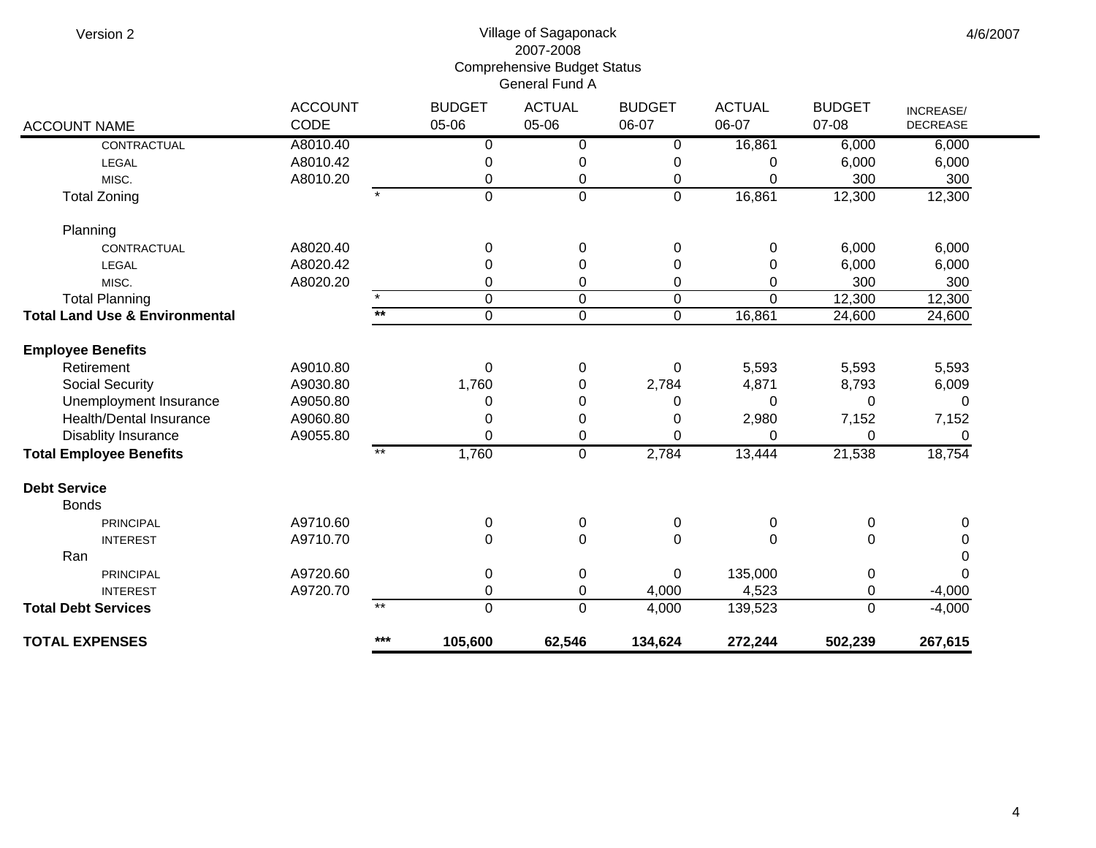Version 2

## Village of Sagaponack 2007-2008 Comprehensive Budget Status General Fund A

| <b>ACCOUNT NAME</b>                       | <b>ACCOUNT</b><br>CODE |       | <b>BUDGET</b><br>05-06 | <b>ACTUAL</b><br>05-06 | <b>BUDGET</b><br>06-07 | <b>ACTUAL</b><br>06-07 | <b>BUDGET</b><br>07-08 | INCREASE/<br><b>DECREASE</b> |  |
|-------------------------------------------|------------------------|-------|------------------------|------------------------|------------------------|------------------------|------------------------|------------------------------|--|
| CONTRACTUAL                               | A8010.40               |       |                        | 0                      |                        | 16,861                 | 6,000                  | 6,000                        |  |
|                                           | A8010.42               |       | 0<br>$\pmb{0}$         | 0                      | 0<br>0                 | 0                      | 6,000                  | 6,000                        |  |
| LEGAL<br>MISC.                            | A8010.20               |       | 0                      | 0                      | 0                      | 0                      | 300                    | 300                          |  |
| <b>Total Zoning</b>                       |                        |       | $\mathbf 0$            | $\mathbf 0$            | $\mathbf 0$            | 16,861                 | 12,300                 | 12,300                       |  |
|                                           |                        |       |                        |                        |                        |                        |                        |                              |  |
| Planning                                  |                        |       |                        |                        |                        |                        |                        |                              |  |
| CONTRACTUAL                               | A8020.40               |       | $\pmb{0}$              | 0                      | 0                      | 0                      | 6,000                  | 6,000                        |  |
| <b>LEGAL</b>                              | A8020.42               |       | 0                      | 0                      | 0                      | 0                      | 6,000                  | 6,000                        |  |
| MISC.                                     | A8020.20               |       | 0                      | 0                      | 0                      | 0                      | 300                    | 300                          |  |
| <b>Total Planning</b>                     |                        |       | $\mathbf 0$            | 0                      | 0                      | $\Omega$               | 12,300                 | 12,300                       |  |
| <b>Total Land Use &amp; Environmental</b> |                        | $**$  | $\mathbf 0$            | 0                      | 0                      | 16,861                 | 24,600                 | 24,600                       |  |
| <b>Employee Benefits</b>                  |                        |       |                        |                        |                        |                        |                        |                              |  |
| Retirement                                | A9010.80               |       | $\pmb{0}$              | 0                      | 0                      | 5,593                  | 5,593                  | 5,593                        |  |
| <b>Social Security</b>                    | A9030.80               |       | 1,760                  | 0                      | 2,784                  | 4,871                  | 8,793                  | 6,009                        |  |
| Unemployment Insurance                    | A9050.80               |       | 0                      | 0                      | 0                      | 0                      | $\Omega$               | 0                            |  |
| <b>Health/Dental Insurance</b>            | A9060.80               |       | 0                      | 0                      | 0                      | 2,980                  | 7,152                  | 7,152                        |  |
| Disablity Insurance                       | A9055.80               |       | $\Omega$               | 0                      | $\Omega$               | $\Omega$               | $\Omega$               | 0                            |  |
| <b>Total Employee Benefits</b>            |                        | $***$ | 1,760                  | $\mathbf 0$            | 2,784                  | 13,444                 | 21,538                 | 18,754                       |  |
| <b>Debt Service</b>                       |                        |       |                        |                        |                        |                        |                        |                              |  |
| <b>Bonds</b>                              |                        |       |                        |                        |                        |                        |                        |                              |  |
| <b>PRINCIPAL</b>                          | A9710.60               |       | $\pmb{0}$              | 0                      | 0                      | 0                      | $\pmb{0}$              | 0                            |  |
| <b>INTEREST</b>                           | A9710.70               |       | 0                      | $\mathbf 0$            | $\mathbf 0$            | 0                      | $\mathbf 0$            | 0                            |  |
| Ran                                       |                        |       |                        |                        |                        |                        |                        | 0                            |  |
| <b>PRINCIPAL</b>                          | A9720.60               |       | $\pmb{0}$              | 0                      | $\pmb{0}$              | 135,000                | $\pmb{0}$              | $\Omega$                     |  |
| <b>INTEREST</b>                           | A9720.70               |       | 0                      | 0                      | 4,000                  | 4,523                  | $\mathbf 0$            | $-4,000$                     |  |
| <b>Total Debt Services</b>                |                        | $***$ | $\overline{0}$         | 0                      | 4,000                  | 139,523                | $\mathbf{0}$           | $-4,000$                     |  |
| <b>TOTAL EXPENSES</b>                     |                        | $***$ | 105,600                | 62,546                 | 134,624                | 272,244                | 502,239                | 267,615                      |  |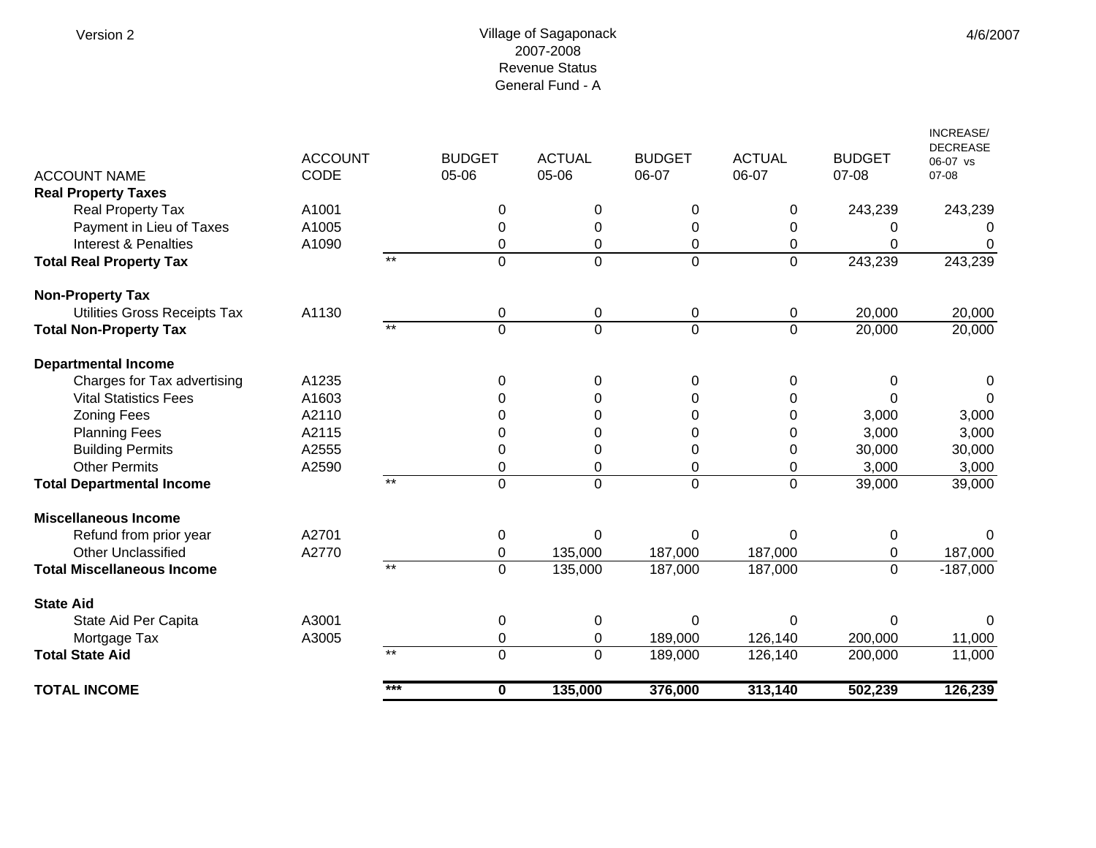## Village of Sagaponack 2007-2008 Revenue Status General Fund - A

| <b>ACCOUNT NAME</b><br><b>Real Property Taxes</b> | <b>ACCOUNT</b><br><b>CODE</b> |       | <b>BUDGET</b><br>05-06 | <b>ACTUAL</b><br>05-06 | <b>BUDGET</b><br>06-07 | <b>ACTUAL</b><br>06-07 | <b>BUDGET</b><br>07-08 | <b>INCREASE/</b><br><b>DECREASE</b><br>06-07 vs<br>$07 - 08$ |
|---------------------------------------------------|-------------------------------|-------|------------------------|------------------------|------------------------|------------------------|------------------------|--------------------------------------------------------------|
| Real Property Tax                                 | A1001                         |       | 0                      | $\Omega$               | $\Omega$               | $\Omega$               | 243,239                | 243,239                                                      |
| Payment in Lieu of Taxes                          | A1005                         |       | 0                      | $\Omega$               | 0                      | $\Omega$               | 0                      |                                                              |
| Interest & Penalties                              | A1090                         |       | 0                      | $\mathbf 0$            | 0                      | 0                      | 0                      | $\Omega$                                                     |
| <b>Total Real Property Tax</b>                    |                               | $***$ | 0                      | $\overline{0}$         | $\overline{0}$         | 0                      | 243,239                | 243,239                                                      |
| <b>Non-Property Tax</b>                           |                               |       |                        |                        |                        |                        |                        |                                                              |
| Utilities Gross Receipts Tax                      | A1130                         |       | 0                      | 0                      | 0                      | 0                      | 20,000                 | 20,000                                                       |
| <b>Total Non-Property Tax</b>                     |                               | $**$  | $\overline{0}$         | $\Omega$               | $\overline{0}$         | $\Omega$               | 20,000                 | 20,000                                                       |
| <b>Departmental Income</b>                        |                               |       |                        |                        |                        |                        |                        |                                                              |
| Charges for Tax advertising                       | A1235                         |       | 0                      | $\Omega$               | 0                      | $\Omega$               | 0                      | 0                                                            |
| <b>Vital Statistics Fees</b>                      | A1603                         |       | 0                      | 0                      | 0                      | 0                      | $\Omega$               | 0                                                            |
| <b>Zoning Fees</b>                                | A2110                         |       | 0                      | $\Omega$               | 0                      | 0                      | 3,000                  | 3,000                                                        |
| <b>Planning Fees</b>                              | A2115                         |       | 0                      | 0                      | 0                      | 0                      | 3,000                  | 3,000                                                        |
| <b>Building Permits</b>                           | A2555                         |       | 0                      | 0                      | 0                      | 0                      | 30,000                 | 30,000                                                       |
| <b>Other Permits</b>                              | A2590                         |       | 0                      | $\mathbf 0$            | 0                      | 0                      | 3,000                  | 3,000                                                        |
| <b>Total Departmental Income</b>                  |                               | $**$  | $\overline{0}$         | $\overline{0}$         | $\overline{0}$         | $\Omega$               | 39,000                 | 39,000                                                       |
| <b>Miscellaneous Income</b>                       |                               |       |                        |                        |                        |                        |                        |                                                              |
| Refund from prior year                            | A2701                         |       | $\,0\,$                | $\Omega$               | 0                      | $\Omega$               | $\pmb{0}$              | 0                                                            |
| <b>Other Unclassified</b>                         | A2770                         |       | 0                      | 135,000                | 187,000                | 187,000                | 0                      | 187,000                                                      |
| <b>Total Miscellaneous Income</b>                 |                               | $***$ | $\mathbf 0$            | 135,000                | 187,000                | 187,000                | $\mathbf 0$            | $-187,000$                                                   |
| <b>State Aid</b>                                  |                               |       |                        |                        |                        |                        |                        |                                                              |
| State Aid Per Capita                              | A3001                         |       | $\mathbf 0$            | 0                      | 0                      | $\Omega$               | 0                      | 0                                                            |
| Mortgage Tax                                      | A3005                         |       | 0                      | $\mathbf 0$            | 189,000                | 126,140                | 200,000                | 11,000                                                       |
| <b>Total State Aid</b>                            |                               | $*$   | $\overline{0}$         | $\Omega$               | 189,000                | 126,140                | 200,000                | 11,000                                                       |
| <b>TOTAL INCOME</b>                               |                               | $***$ | 0                      | 135,000                | 376,000                | 313,140                | 502,239                | 126,239                                                      |